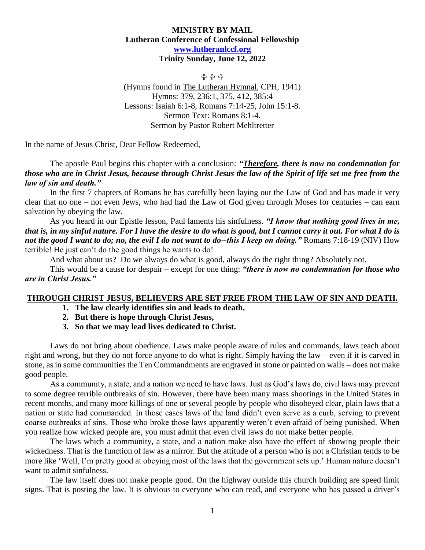## **MINISTRY BY MAIL Lutheran Conference of Confessional Fellowship [www.lutheranlccf.org](http://www.lutheranlccf.org/) Trinity Sunday, June 12, 2022**

읍 읍 읍 (Hymns found in The Lutheran Hymnal, CPH, 1941) Hymns: 379, 236:1, 375, 412, 385:4 Lessons: Isaiah 6:1-8, Romans 7:14-25, John 15:1-8. Sermon Text: Romans 8:1-4. Sermon by Pastor Robert Mehltretter

In the name of Jesus Christ, Dear Fellow Redeemed,

The apostle Paul begins this chapter with a conclusion: *"Therefore, there is now no condemnation for those who are in Christ Jesus, because through Christ Jesus the law of the Spirit of life set me free from the law of sin and death."* 

In the first 7 chapters of Romans he has carefully been laying out the Law of God and has made it very clear that no one – not even Jews, who had had the Law of God given through Moses for centuries – can earn salvation by obeying the law.

As you heard in our Epistle lesson, Paul laments his sinfulness. *"I know that nothing good lives in me, that is, in my sinful nature. For I have the desire to do what is good, but I cannot carry it out. For what I do is*  not the good I want to do; no, the evil I do not want to do--this I keep on doing." Romans 7:18-19 (NIV) How terrible! He just can't do the good things he wants to do!

And what about us? Do we always do what is good, always do the right thing? Absolutely not.

This would be a cause for despair – except for one thing: *"there is now no condemnation for those who are in Christ Jesus."* 

## **THROUGH CHRIST JESUS, BELIEVERS ARE SET FREE FROM THE LAW OF SIN AND DEATH.**

- **1. The law clearly identifies sin and leads to death,**
- **2. But there is hope through Christ Jesus,**
- **3. So that we may lead lives dedicated to Christ.**

Laws do not bring about obedience. Laws make people aware of rules and commands, laws teach about right and wrong, but they do not force anyone to do what is right. Simply having the law – even if it is carved in stone, as in some communities the Ten Commandments are engraved in stone or painted on walls – does not make good people.

As a community, a state, and a nation we need to have laws. Just as God's laws do, civil laws may prevent to some degree terrible outbreaks of sin. However, there have been many mass shootings in the United States in recent months, and many more killings of one or several people by people who disobeyed clear, plain laws that a nation or state had commanded. In those cases laws of the land didn't even serve as a curb, serving to prevent coarse outbreaks of sins. Those who broke those laws apparently weren't even afraid of being punished. When you realize how wicked people are, you must admit that even civil laws do not make better people.

The laws which a community, a state, and a nation make also have the effect of showing people their wickedness. That is the function of law as a mirror. But the attitude of a person who is not a Christian tends to be more like 'Well, I'm pretty good at obeying most of the laws that the government sets up.' Human nature doesn't want to admit sinfulness.

The law itself does not make people good. On the highway outside this church building are speed limit signs. That is posting the law. It is obvious to everyone who can read, and everyone who has passed a driver's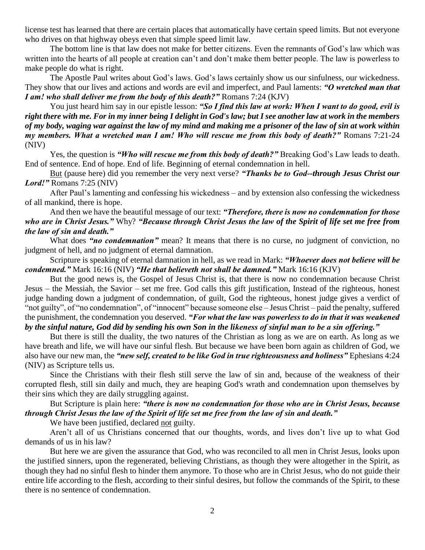license test has learned that there are certain places that automatically have certain speed limits. But not everyone who drives on that highway obeys even that simple speed limit law.

The bottom line is that law does not make for better citizens. Even the remnants of God's law which was written into the hearts of all people at creation can't and don't make them better people. The law is powerless to make people do what is right.

The Apostle Paul writes about God's laws. God's laws certainly show us our sinfulness, our wickedness. They show that our lives and actions and words are evil and imperfect, and Paul laments: *"O wretched man that I am! who shall deliver me from the body of this death?"* Romans 7:24 (KJV)

You just heard him say in our epistle lesson: "So I find this law at work: When I want to do good, evil is *right there with me. For in my inner being I delight in God's law; but I see another law at work in the members of my body, waging war against the law of my mind and making me a prisoner of the law of sin at work within my members. What a wretched man I am! Who will rescue me from this body of death?*" Romans 7:21-24 (NIV)

Yes, the question is *"Who will rescue me from this body of death?"* Breaking God's Law leads to death. End of sentence. End of hope. End of life. Beginning of eternal condemnation in hell.

But (pause here) did you remember the very next verse? *"Thanks be to God--through Jesus Christ our Lord!"* Romans 7:25 (NIV)

After Paul's lamenting and confessing his wickedness – and by extension also confessing the wickedness of all mankind, there is hope.

And then we have the beautiful message of our text: *"Therefore, there is now no condemnation for those who are in Christ Jesus."* Why? *"Because through Christ Jesus the law of the Spirit of life set me free from the law of sin and death."*

What does "no condemnation" mean? It means that there is no curse, no judgment of conviction, no judgment of hell, and no judgment of eternal damnation.

Scripture is speaking of eternal damnation in hell, as we read in Mark: *"Whoever does not believe will be condemned."* Mark 16:16 (NIV) *"He that believeth not shall be damned."* Mark 16:16 (KJV)

But the good news is, the Gospel of Jesus Christ is, that there is now no condemnation because Christ Jesus – the Messiah, the Savior – set me free. God calls this gift justification, Instead of the righteous, honest judge handing down a judgment of condemnation, of guilt, God the righteous, honest judge gives a verdict of "not guilty", of "no condemnation", of "innocent" because someone else – Jesus Christ – paid the penalty, suffered the punishment, the condemnation you deserved. *"For what the law was powerless to do in that it was weakened by the sinful nature, God did by sending his own Son in the likeness of sinful man to be a sin offering."*

But there is still the duality, the two natures of the Christian as long as we are on earth. As long as we have breath and life, we will have our sinful flesh. But because we have been born again as children of God, we also have our new man, the *"new self, created to be like God in true righteousness and holiness"* Ephesians 4:24 (NIV) as Scripture tells us.

Since the Christians with their flesh still serve the law of sin and, because of the weakness of their corrupted flesh, still sin daily and much, they are heaping God's wrath and condemnation upon themselves by their sins which they are daily struggling against.

## But Scripture is plain here: *"there is now no condemnation for those who are in Christ Jesus, because through Christ Jesus the law of the Spirit of life set me free from the law of sin and death."*

We have been justified, declared not guilty.

Aren't all of us Christians concerned that our thoughts, words, and lives don't live up to what God demands of us in his law?

But here we are given the assurance that God, who was reconciled to all men in Christ Jesus, looks upon the justified sinners, upon the regenerated, believing Christians, as though they were altogether in the Spirit, as though they had no sinful flesh to hinder them anymore. To those who are in Christ Jesus, who do not guide their entire life according to the flesh, according to their sinful desires, but follow the commands of the Spirit, to these there is no sentence of condemnation.